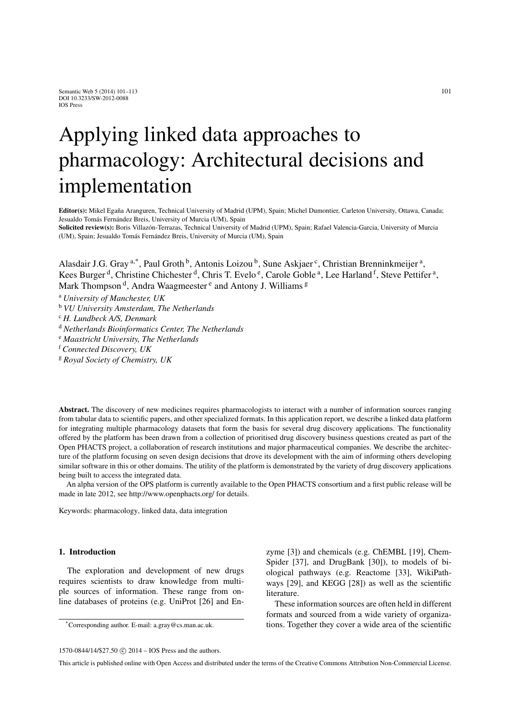# Applying linked data approaches to pharmacology: Architectural decisions and implementation

Editor(s): Mikel Egaña Aranguren, Technical University of Madrid (UPM), Spain; Michel Dumontier, Carleton University, Ottawa, Canada; Jesualdo Tomás Fernández Breis, University of Murcia (UM), Spain

Solicited review(s): Boris Villazón-Terrazas, Technical University of Madrid (UPM), Spain; Rafael Valencia-Garcia, University of Murcia (UM), Spain; Jesualdo Tomás Fernández Breis, University of Murcia (UM), Spain

Alasdair J.G. Gray <sup>a,\*</sup>, Paul Groth <sup>b</sup>, Antonis Loizou <sup>b</sup>, Sune Askjaer <sup>c</sup>, Christian Brenninkmeijer<sup>a</sup>, Kees Burger<sup>d</sup>, Christine Chichester<sup>d</sup>, Chris T. Evelo<sup>e</sup>, Carole Goble<sup>a</sup>, Lee Harland<sup>f</sup>, Steve Pettifer<sup>a</sup>, Mark Thompson<sup>d</sup>, Andra Waagmeester<sup>e</sup> and Antony J. Williams<sup>g</sup>

<sup>a</sup> *University of Manchester, UK*

<sup>b</sup> *VU University Amsterdam, The Netherlands*

<sup>c</sup> *H. Lundbeck A/S, Denmark*

<sup>d</sup> *Netherlands Bioinformatics Center, The Netherlands*

<sup>e</sup> *Maastricht University, The Netherlands*

<sup>f</sup> *Connected Discovery, UK*

<sup>g</sup> *Royal Society of Chemistry, UK*

Abstract. The discovery of new medicines requires pharmacologists to interact with a number of information sources ranging from tabular data to scientific papers, and other specialized formats. In this application report, we describe a linked data platform for integrating multiple pharmacology datasets that form the basis for several drug discovery applications. The functionality offered by the platform has been drawn from a collection of prioritised drug discovery business questions created as part of the Open PHACTS project, a collaboration of research institutions and major pharmaceutical companies. We describe the architecture of the platform focusing on seven design decisions that drove its development with the aim of informing others developing similar software in this or other domains. The utility of the platform is demonstrated by the variety of drug discovery applications being built to access the integrated data.

An alpha version of the OPS platform is currently available to the Open PHACTS consortium and a first public release will be made in late 2012, see http://www.openphacts.org/ for details.

Keywords: pharmacology, linked data, data integration

# 1. Introduction

The exploration and development of new drugs requires scientists to draw knowledge from multiple sources of information. These range from online databases of proteins (e.g. UniProt [26] and En-

 $1570-0844/14$ /\$27.50  $\odot$  2014 – IOS Press and the authors.

zyme [3]) and chemicals (e.g. ChEMBL [19], Chem-Spider [37], and DrugBank [30]), to models of biological pathways (e.g. Reactome [33], WikiPathways [29], and KEGG [28]) as well as the scientific literature.

These information sources are often held in different formats and sourced from a wide variety of organizations. Together they cover a wide area of the scientific

<sup>\*</sup>Corresponding author. E-mail: a.gray@cs.man.ac.uk.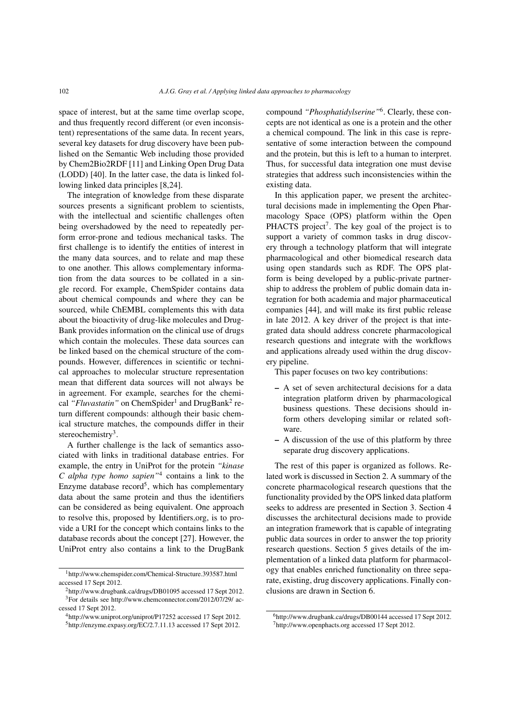space of interest, but at the same time overlap scope, and thus frequently record different (or even inconsistent) representations of the same data. In recent years, several key datasets for drug discovery have been published on the Semantic Web including those provided by Chem2Bio2RDF [11] and Linking Open Drug Data (LODD) [40]. In the latter case, the data is linked following linked data principles [8,24].

The integration of knowledge from these disparate sources presents a significant problem to scientists, with the intellectual and scientific challenges often being overshadowed by the need to repeatedly perform error-prone and tedious mechanical tasks. The first challenge is to identify the entities of interest in the many data sources, and to relate and map these to one another. This allows complementary information from the data sources to be collated in a single record. For example, ChemSpider contains data about chemical compounds and where they can be sourced, while ChEMBL complements this with data about the bioactivity of drug-like molecules and Drug-Bank provides information on the clinical use of drugs which contain the molecules. These data sources can be linked based on the chemical structure of the compounds. However, differences in scientific or technical approaches to molecular structure representation mean that different data sources will not always be in agreement. For example, searches for the chemical "Fluvastatin" on ChemSpider<sup>1</sup> and DrugBank<sup>2</sup> return different compounds: although their basic chemical structure matches, the compounds differ in their stereochemistry<sup>3</sup>.

A further challenge is the lack of semantics associated with links in traditional database entries. For example, the entry in UniProt for the protein *"kinase C alpha type homo sapien"*<sup>4</sup> contains a link to the Enzyme database  $record<sup>5</sup>$ , which has complementary data about the same protein and thus the identifiers can be considered as being equivalent. One approach to resolve this, proposed by Identifiers.org, is to provide a URI for the concept which contains links to the database records about the concept [27]. However, the UniProt entry also contains a link to the DrugBank compound *"Phosphatidylserine"*6. Clearly, these concepts are not identical as one is a protein and the other a chemical compound. The link in this case is representative of some interaction between the compound and the protein, but this is left to a human to interpret. Thus, for successful data integration one must devise strategies that address such inconsistencies within the existing data.

In this application paper, we present the architectural decisions made in implementing the Open Pharmacology Space (OPS) platform within the Open PHACTS project<sup>7</sup>. The key goal of the project is to support a variety of common tasks in drug discovery through a technology platform that will integrate pharmacological and other biomedical research data using open standards such as RDF. The OPS platform is being developed by a public-private partnership to address the problem of public domain data integration for both academia and major pharmaceutical companies [44], and will make its first public release in late 2012. A key driver of the project is that integrated data should address concrete pharmacological research questions and integrate with the workflows and applications already used within the drug discovery pipeline.

This paper focuses on two key contributions:

- A set of seven architectural decisions for a data integration platform driven by pharmacological business questions. These decisions should inform others developing similar or related software.
- A discussion of the use of this platform by three separate drug discovery applications.

The rest of this paper is organized as follows. Related work is discussed in Section 2. A summary of the concrete pharmacological research questions that the functionality provided by the OPS linked data platform seeks to address are presented in Section 3. Section 4 discusses the architectural decisions made to provide an integration framework that is capable of integrating public data sources in order to answer the top priority research questions. Section 5 gives details of the implementation of a linked data platform for pharmacology that enables enriched functionality on three separate, existing, drug discovery applications. Finally conclusions are drawn in Section 6.

<sup>1</sup>http://www.chemspider.com/Chemical-Structure.393587.html accessed 17 Sept 2012.

<sup>2</sup>http://www.drugbank.ca/drugs/DB01095 accessed 17 Sept 2012. 3For details see http://www.chemconnector.com/2012/07/29/ accessed 17 Sept 2012.

<sup>4</sup>http://www.uniprot.org/uniprot/P17252 accessed 17 Sept 2012. 5http://enzyme.expasy.org/EC/2.7.11.13 accessed 17 Sept 2012.

<sup>6</sup>http://www.drugbank.ca/drugs/DB00144 accessed 17 Sept 2012. 7http://www.openphacts.org accessed 17 Sept 2012.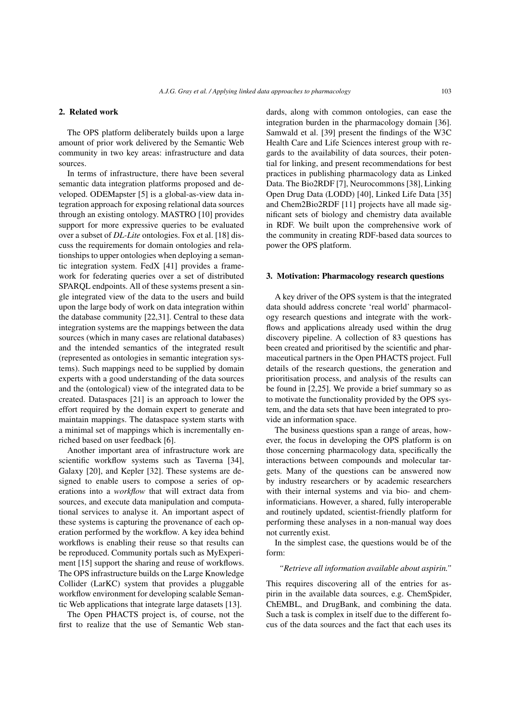# 2. Related work

The OPS platform deliberately builds upon a large amount of prior work delivered by the Semantic Web community in two key areas: infrastructure and data sources.

In terms of infrastructure, there have been several semantic data integration platforms proposed and developed. ODEMapster [5] is a global-as-view data integration approach for exposing relational data sources through an existing ontology. MASTRO [10] provides support for more expressive queries to be evaluated over a subset of *DL-Lite* ontologies. Fox et al. [18] discuss the requirements for domain ontologies and relationships to upper ontologies when deploying a semantic integration system. FedX [41] provides a framework for federating queries over a set of distributed SPARQL endpoints. All of these systems present a single integrated view of the data to the users and build upon the large body of work on data integration within the database community [22,31]. Central to these data integration systems are the mappings between the data sources (which in many cases are relational databases) and the intended semantics of the integrated result (represented as ontologies in semantic integration systems). Such mappings need to be supplied by domain experts with a good understanding of the data sources and the (ontological) view of the integrated data to be created. Dataspaces [21] is an approach to lower the effort required by the domain expert to generate and maintain mappings. The dataspace system starts with a minimal set of mappings which is incrementally enriched based on user feedback [6].

Another important area of infrastructure work are scientific workflow systems such as Taverna [34], Galaxy [20], and Kepler [32]. These systems are designed to enable users to compose a series of operations into a *workflow* that will extract data from sources, and execute data manipulation and computational services to analyse it. An important aspect of these systems is capturing the provenance of each operation performed by the workflow. A key idea behind workflows is enabling their reuse so that results can be reproduced. Community portals such as MyExperiment [15] support the sharing and reuse of workflows. The OPS infrastructure builds on the Large Knowledge Collider (LarKC) system that provides a pluggable workflow environment for developing scalable Semantic Web applications that integrate large datasets [13].

The Open PHACTS project is, of course, not the first to realize that the use of Semantic Web standards, along with common ontologies, can ease the integration burden in the pharmacology domain [36]. Samwald et al. [39] present the findings of the W3C Health Care and Life Sciences interest group with regards to the availability of data sources, their potential for linking, and present recommendations for best practices in publishing pharmacology data as Linked Data. The Bio2RDF [7], Neurocommons [38], Linking Open Drug Data (LODD) [40], Linked Life Data [35] and Chem2Bio2RDF [11] projects have all made significant sets of biology and chemistry data available in RDF. We built upon the comprehensive work of the community in creating RDF-based data sources to power the OPS platform.

# 3. Motivation: Pharmacology research questions

A key driver of the OPS system is that the integrated data should address concrete 'real world' pharmacology research questions and integrate with the workflows and applications already used within the drug discovery pipeline. A collection of 83 questions has been created and prioritised by the scientific and pharmaceutical partners in the Open PHACTS project. Full details of the research questions, the generation and prioritisation process, and analysis of the results can be found in [2,25]. We provide a brief summary so as to motivate the functionality provided by the OPS system, and the data sets that have been integrated to provide an information space.

The business questions span a range of areas, however, the focus in developing the OPS platform is on those concerning pharmacology data, specifically the interactions between compounds and molecular targets. Many of the questions can be answered now by industry researchers or by academic researchers with their internal systems and via bio- and cheminformaticians. However, a shared, fully interoperable and routinely updated, scientist-friendly platform for performing these analyses in a non-manual way does not currently exist. In the simplest case, the questions would be of the

form:

# *"Retrieve all information available about aspirin."*

This requires discovering all of the entries for aspirin in the available data sources, e.g. ChemSpider, ChEMBL, and DrugBank, and combining the data. Such a task is complex in itself due to the different focus of the data sources and the fact that each uses its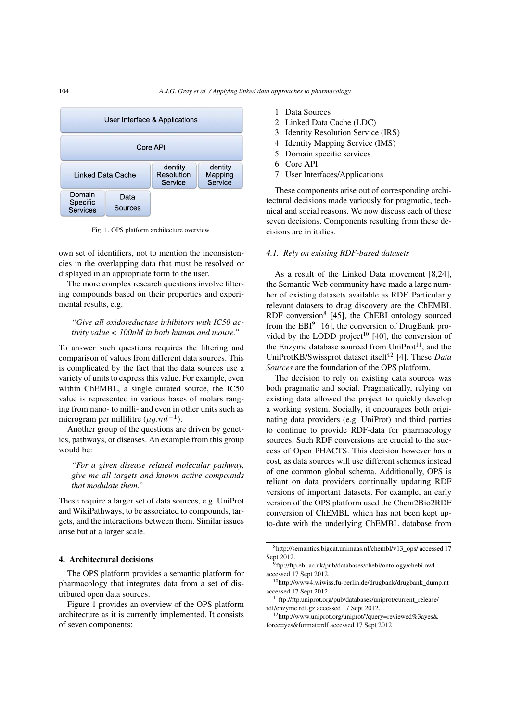

Fig. 1. OPS platform architecture overview.

own set of identifiers, not to mention the inconsistencies in the overlapping data that must be resolved or displayed in an appropriate form to the user.

The more complex research questions involve filtering compounds based on their properties and experimental results, e.g.

# *"Give all oxidoreductase inhibitors with IC50 activity value < 100nM in both human and mouse."*

To answer such questions requires the filtering and comparison of values from different data sources. This is complicated by the fact that the data sources use a variety of units to express this value. For example, even within ChEMBL, a single curated source, the IC50 value is represented in various bases of molars ranging from nano- to milli- and even in other units such as microgram per millilitre ( $\mu a.ml^{-1}$ ).

Another group of the questions are driven by genetics, pathways, or diseases. An example from this group would be:

*"For a given disease related molecular pathway, give me all targets and known active compounds that modulate them."*

These require a larger set of data sources, e.g. UniProt and WikiPathways, to be associated to compounds, targets, and the interactions between them. Similar issues arise but at a larger scale.

## 4. Architectural decisions

The OPS platform provides a semantic platform for pharmacology that integrates data from a set of distributed open data sources.

Figure 1 provides an overview of the OPS platform architecture as it is currently implemented. It consists of seven components:

- 1. Data Sources
- 2. Linked Data Cache (LDC)
- 3. Identity Resolution Service (IRS)
- 4. Identity Mapping Service (IMS)
- 5. Domain specific services
- 6. Core API
- 7. User Interfaces/Applications

These components arise out of corresponding architectural decisions made variously for pragmatic, technical and social reasons. We now discuss each of these seven decisions. Components resulting from these decisions are in italics.

# *4.1. Rely on existing RDF-based datasets*

As a result of the Linked Data movement [8,24], the Semantic Web community have made a large number of existing datasets available as RDF. Particularly relevant datasets to drug discovery are the ChEMBL RDF conversion<sup>8</sup> [45], the ChEBI ontology sourced from the  $EBI<sup>9</sup>$  [16], the conversion of DrugBank provided by the LODD project<sup>10</sup> [40], the conversion of the Enzyme database sourced from  $UniProt<sup>11</sup>$ , and the UniProtKB/Swissprot dataset itself<sup>12</sup> [4]. These *Data Sources* are the foundation of the OPS platform.

The decision to rely on existing data sources was both pragmatic and social. Pragmatically, relying on existing data allowed the project to quickly develop a working system. Socially, it encourages both originating data providers (e.g. UniProt) and third parties to continue to provide RDF-data for pharmacology sources. Such RDF conversions are crucial to the success of Open PHACTS. This decision however has a cost, as data sources will use different schemes instead of one common global schema. Additionally, OPS is reliant on data providers continually updating RDF versions of important datasets. For example, an early version of the OPS platform used the Chem2Bio2RDF conversion of ChEMBL which has not been kept upto-date with the underlying ChEMBL database from

<sup>8</sup>http://semantics.bigcat.unimaas.nl/chembl/v13\_ops/ accessed 17 Sept 2012.

<sup>&</sup>lt;sup>9</sup>ftp://ftp.ebi.ac.uk/pub/databases/chebi/ontology/chebi.owl accessed 17 Sept 2012.

<sup>10</sup>http://www4.wiwiss.fu-berlin.de/drugbank/drugbank\_dump.nt accessed 17 Sept 2012.

 $11$  ftp://ftp.uniprot.org/pub/databases/uniprot/current\_release/ rdf/enzyme.rdf.gz accessed 17 Sept 2012.

<sup>12</sup>http://www.uniprot.org/uniprot/?query=reviewed%3ayes& force=yes&format=rdf accessed 17 Sept 2012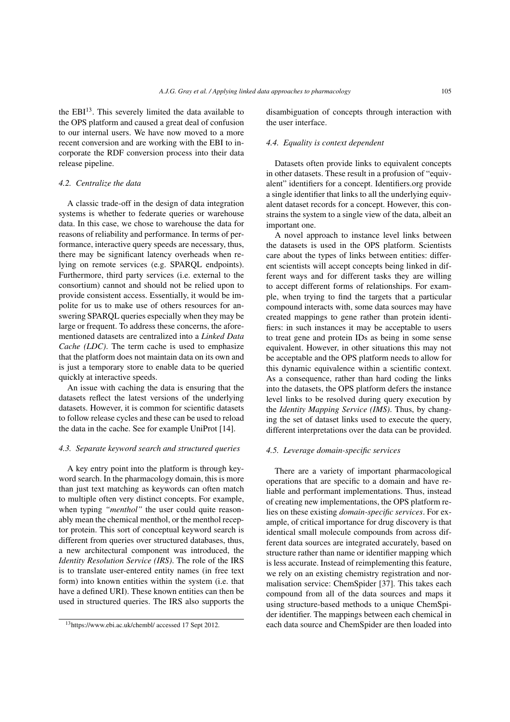the  $EBI<sup>13</sup>$ . This severely limited the data available to the OPS platform and caused a great deal of confusion to our internal users. We have now moved to a more recent conversion and are working with the EBI to incorporate the RDF conversion process into their data release pipeline.

# *4.2. Centralize the data*

A classic trade-off in the design of data integration systems is whether to federate queries or warehouse data. In this case, we chose to warehouse the data for reasons of reliability and performance. In terms of performance, interactive query speeds are necessary, thus, there may be significant latency overheads when relying on remote services (e.g. SPARQL endpoints). Furthermore, third party services (i.e. external to the consortium) cannot and should not be relied upon to provide consistent access. Essentially, it would be impolite for us to make use of others resources for answering SPARQL queries especially when they may be large or frequent. To address these concerns, the aforementioned datasets are centralized into a *Linked Data Cache (LDC)*. The term cache is used to emphasize that the platform does not maintain data on its own and is just a temporary store to enable data to be queried quickly at interactive speeds.

An issue with caching the data is ensuring that the datasets reflect the latest versions of the underlying datasets. However, it is common for scientific datasets to follow release cycles and these can be used to reload the data in the cache. See for example UniProt [14].

# *4.3. Separate keyword search and structured queries*

A key entry point into the platform is through keyword search. In the pharmacology domain, this is more than just text matching as keywords can often match to multiple often very distinct concepts. For example, when typing "*menthol*" the user could quite reasonably mean the chemical menthol, or the menthol receptor protein. This sort of conceptual keyword search is different from queries over structured databases, thus, a new architectural component was introduced, the *Identity Resolution Service (IRS)*. The role of the IRS is to translate user-entered entity names (in free text form) into known entities within the system (i.e. that have a defined URI). These known entities can then be used in structured queries. The IRS also supports the disambiguation of concepts through interaction with the user interface.

#### *4.4. Equality is context dependent*

Datasets often provide links to equivalent concepts in other datasets. These result in a profusion of "equivalent" identifiers for a concept. Identifiers.org provide a single identifier that links to all the underlying equivalent dataset records for a concept. However, this constrains the system to a single view of the data, albeit an important one.

A novel approach to instance level links between the datasets is used in the OPS platform. Scientists care about the types of links between entities: different scientists will accept concepts being linked in different ways and for different tasks they are willing to accept different forms of relationships. For example, when trying to find the targets that a particular compound interacts with, some data sources may have created mappings to gene rather than protein identifiers: in such instances it may be acceptable to users to treat gene and protein IDs as being in some sense equivalent. However, in other situations this may not be acceptable and the OPS platform needs to allow for this dynamic equivalence within a scientific context. As a consequence, rather than hard coding the links into the datasets, the OPS platform defers the instance level links to be resolved during query execution by the *Identity Mapping Service (IMS)*. Thus, by changing the set of dataset links used to execute the query, different interpretations over the data can be provided.

#### *4.5. Leverage domain-specific services*

There are a variety of important pharmacological operations that are specific to a domain and have reliable and performant implementations. Thus, instead of creating new implementations, the OPS platform relies on these existing *domain-specific services*. For example, of critical importance for drug discovery is that identical small molecule compounds from across different data sources are integrated accurately, based on structure rather than name or identifier mapping which is less accurate. Instead of reimplementing this feature, we rely on an existing chemistry registration and normalisation service: ChemSpider [37]. This takes each compound from all of the data sources and maps it using structure-based methods to a unique ChemSpider identifier. The mappings between each chemical in each data source and ChemSpider are then loaded into

<sup>13</sup>https://www.ebi.ac.uk/chembl/ accessed 17 Sept 2012.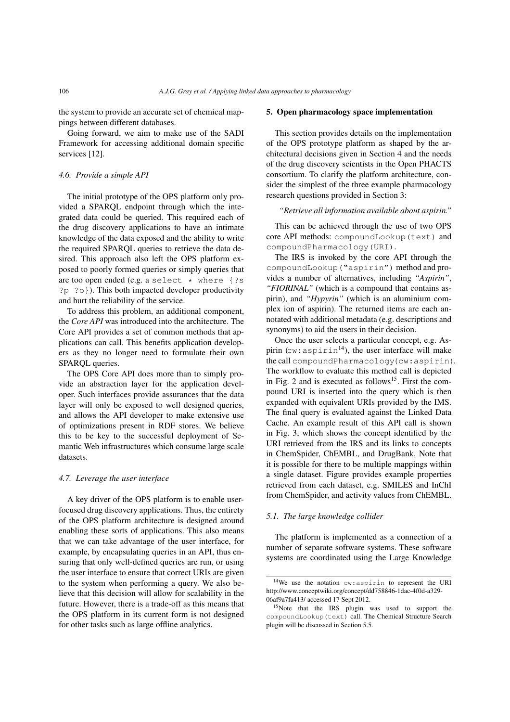the system to provide an accurate set of chemical mappings between different databases.

Going forward, we aim to make use of the SADI Framework for accessing additional domain specific services [12].

# *4.6. Provide a simple API*

The initial prototype of the OPS platform only provided a SPARQL endpoint through which the integrated data could be queried. This required each of the drug discovery applications to have an intimate knowledge of the data exposed and the ability to write the required SPARQL queries to retrieve the data desired. This approach also left the OPS platform exposed to poorly formed queries or simply queries that are too open ended (e.g. a select  $*$  where {?s ?p ?o}). This both impacted developer productivity and hurt the reliability of the service.

To address this problem, an additional component, the *Core API* was introduced into the architecture. The Core API provides a set of common methods that applications can call. This benefits application developers as they no longer need to formulate their own SPARQL queries.

The OPS Core API does more than to simply provide an abstraction layer for the application developer. Such interfaces provide assurances that the data layer will only be exposed to well designed queries, and allows the API developer to make extensive use of optimizations present in RDF stores. We believe this to be key to the successful deployment of Semantic Web infrastructures which consume large scale datasets.

#### *4.7. Leverage the user interface*

A key driver of the OPS platform is to enable userfocused drug discovery applications. Thus, the entirety of the OPS platform architecture is designed around enabling these sorts of applications. This also means that we can take advantage of the user interface, for example, by encapsulating queries in an API, thus ensuring that only well-defined queries are run, or using the user interface to ensure that correct URIs are given to the system when performing a query. We also believe that this decision will allow for scalability in the future. However, there is a trade-off as this means that the OPS platform in its current form is not designed for other tasks such as large offline analytics.

# 5. Open pharmacology space implementation

This section provides details on the implementation of the OPS prototype platform as shaped by the architectural decisions given in Section 4 and the needs of the drug discovery scientists in the Open PHACTS consortium. To clarify the platform architecture, consider the simplest of the three example pharmacology research questions provided in Section 3:

#### *"Retrieve all information available about aspirin."*

This can be achieved through the use of two OPS core API methods: compoundLookup(text) and compoundPharmacology(URI).

The IRS is invoked by the core API through the compoundLookup("aspirin") method and provides a number of alternatives, including *"Aspirin"*, *"FIORINAL"* (which is a compound that contains aspirin), and *"Hypyrin"* (which is an aluminium complex ion of aspirin). The returned items are each annotated with additional metadata (e.g. descriptions and synonyms) to aid the users in their decision.

Once the user selects a particular concept, e.g. Aspirin ( $cw:aspirin<sup>14</sup>$ ), the user interface will make the call compoundPharmacology(cw:aspirin). The workflow to evaluate this method call is depicted in Fig. 2 and is executed as follows<sup>15</sup>. First the compound URI is inserted into the query which is then expanded with equivalent URIs provided by the IMS. The final query is evaluated against the Linked Data Cache. An example result of this API call is shown in Fig. 3, which shows the concept identified by the URI retrieved from the IRS and its links to concepts in ChemSpider, ChEMBL, and DrugBank. Note that it is possible for there to be multiple mappings within a single dataset. Figure provides example properties retrieved from each dataset, e.g. SMILES and InChI from ChemSpider, and activity values from ChEMBL.

#### *5.1. The large knowledge collider*

The platform is implemented as a connection of a number of separate software systems. These software systems are coordinated using the Large Knowledge

<sup>14</sup>We use the notation cw:aspirin to represent the URI http://www.conceptwiki.org/concept/dd758846-1dac-4f0d-a329- 06af9a7fa413/ accessed 17 Sept 2012.

<sup>&</sup>lt;sup>15</sup>Note that the IRS plugin was used to support the compoundLookup(text) call. The Chemical Structure Search plugin will be discussed in Section 5.5.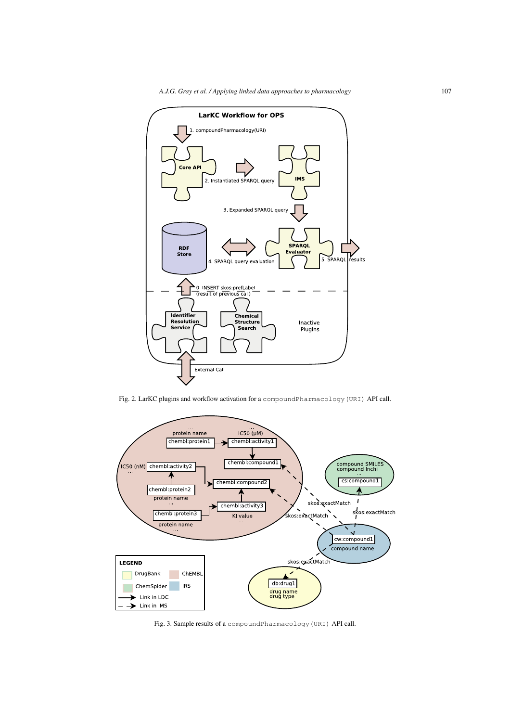

Fig. 2. LarKC plugins and workflow activation for a compoundPharmacology(URI) API call.



Fig. 3. Sample results of a compoundPharmacology(URI) API call.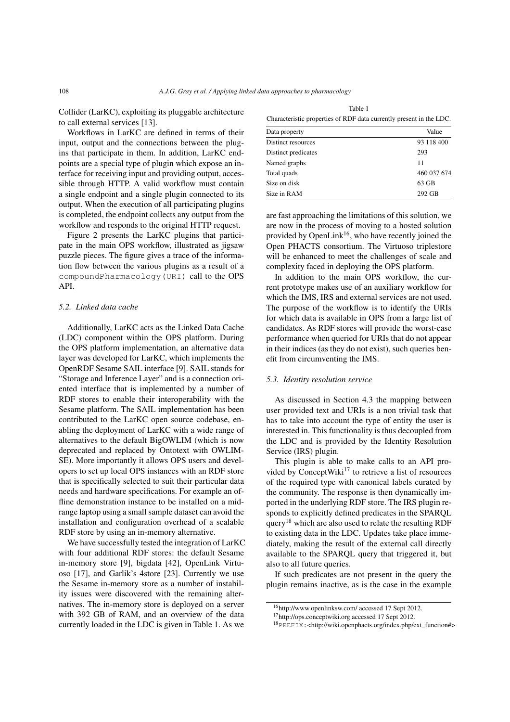Collider (LarKC), exploiting its pluggable architecture to call external services [13].

Workflows in LarKC are defined in terms of their input, output and the connections between the plugins that participate in them. In addition, LarKC endpoints are a special type of plugin which expose an interface for receiving input and providing output, accessible through HTTP. A valid workflow must contain a single endpoint and a single plugin connected to its output. When the execution of all participating plugins is completed, the endpoint collects any output from the workflow and responds to the original HTTP request.

Figure 2 presents the LarKC plugins that participate in the main OPS workflow, illustrated as jigsaw puzzle pieces. The figure gives a trace of the information flow between the various plugins as a result of a compoundPharmacology(URI) call to the OPS API.

# *5.2. Linked data cache*

Additionally, LarKC acts as the Linked Data Cache (LDC) component within the OPS platform. During the OPS platform implementation, an alternative data layer was developed for LarKC, which implements the OpenRDF Sesame SAIL interface [9]. SAIL stands for "Storage and Inference Layer" and is a connection oriented interface that is implemented by a number of RDF stores to enable their interoperability with the Sesame platform. The SAIL implementation has been contributed to the LarKC open source codebase, enabling the deployment of LarKC with a wide range of alternatives to the default BigOWLIM (which is now deprecated and replaced by Ontotext with OWLIM-SE). More importantly it allows OPS users and developers to set up local OPS instances with an RDF store that is specifically selected to suit their particular data needs and hardware specifications. For example an offline demonstration instance to be installed on a midrange laptop using a small sample dataset can avoid the installation and configuration overhead of a scalable RDF store by using an in-memory alternative.

We have successfully tested the integration of LarKC with four additional RDF stores: the default Sesame in-memory store [9], bigdata [42], OpenLink Virtuoso [17], and Garlik's 4store [23]. Currently we use the Sesame in-memory store as a number of instability issues were discovered with the remaining alternatives. The in-memory store is deployed on a server with 392 GB of RAM, and an overview of the data currently loaded in the LDC is given in Table 1. As we

Table 1

| Characteristic properties of RDF data currently present in the LDC. |       |
|---------------------------------------------------------------------|-------|
| Data property.                                                      | Value |

| Data property       | Value       |
|---------------------|-------------|
| Distinct resources  | 93 118 400  |
| Distinct predicates | 293         |
| Named graphs        | 11          |
| Total quads         | 460 037 674 |
| Size on disk        | $63$ GB     |
| Size in RAM         | 292 GB      |

are fast approaching the limitations of this solution, we are now in the process of moving to a hosted solution provided by OpenLink<sup>16</sup>, who have recently joined the Open PHACTS consortium. The Virtuoso triplestore will be enhanced to meet the challenges of scale and complexity faced in deploying the OPS platform.

In addition to the main OPS workflow, the current prototype makes use of an auxiliary workflow for which the IMS, IRS and external services are not used. The purpose of the workflow is to identify the URIs for which data is available in OPS from a large list of candidates. As RDF stores will provide the worst-case performance when queried for URIs that do not appear in their indices (as they do not exist), such queries benefit from circumventing the IMS.

# *5.3. Identity resolution service*

As discussed in Section 4.3 the mapping between user provided text and URIs is a non trivial task that has to take into account the type of entity the user is interested in. This functionality is thus decoupled from the LDC and is provided by the Identity Resolution Service (IRS) plugin.

This plugin is able to make calls to an API provided by ConceptWiki<sup>17</sup> to retrieve a list of resources of the required type with canonical labels curated by the community. The response is then dynamically imported in the underlying RDF store. The IRS plugin responds to explicitly defined predicates in the SPARQL query<sup>18</sup> which are also used to relate the resulting RDF to existing data in the LDC. Updates take place immediately, making the result of the external call directly available to the SPARQL query that triggered it, but also to all future queries.

If such predicates are not present in the query the plugin remains inactive, as is the case in the example

<sup>16</sup>http://www.openlinksw.com/ accessed 17 Sept 2012.

<sup>&</sup>lt;sup>17</sup>http://ops.conceptwiki.org accessed 17 Sept 2012.

<sup>18</sup>PREFIX:<http://wiki.openphacts.org/index.php/ext\_function#>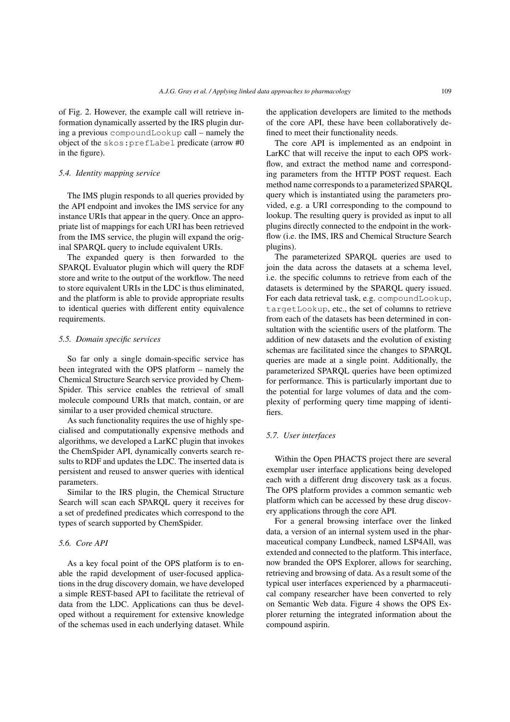of Fig. 2. However, the example call will retrieve information dynamically asserted by the IRS plugin during a previous compoundLookup call – namely the object of the skos:prefLabel predicate (arrow #0 in the figure).

# *5.4. Identity mapping service*

The IMS plugin responds to all queries provided by the API endpoint and invokes the IMS service for any instance URIs that appear in the query. Once an appropriate list of mappings for each URI has been retrieved from the IMS service, the plugin will expand the original SPARQL query to include equivalent URIs.

The expanded query is then forwarded to the SPARQL Evaluator plugin which will query the RDF store and write to the output of the workflow. The need to store equivalent URIs in the LDC is thus eliminated, and the platform is able to provide appropriate results to identical queries with different entity equivalence requirements.

# *5.5. Domain specific services*

So far only a single domain-specific service has been integrated with the OPS platform – namely the Chemical Structure Search service provided by Chem-Spider. This service enables the retrieval of small molecule compound URIs that match, contain, or are similar to a user provided chemical structure.

As such functionality requires the use of highly specialised and computationally expensive methods and algorithms, we developed a LarKC plugin that invokes the ChemSpider API, dynamically converts search results to RDF and updates the LDC. The inserted data is persistent and reused to answer queries with identical parameters.

Similar to the IRS plugin, the Chemical Structure Search will scan each SPARQL query it receives for a set of predefined predicates which correspond to the types of search supported by ChemSpider.

# *5.6. Core API*

As a key focal point of the OPS platform is to enable the rapid development of user-focused applications in the drug discovery domain, we have developed a simple REST-based API to facilitate the retrieval of data from the LDC. Applications can thus be developed without a requirement for extensive knowledge of the schemas used in each underlying dataset. While the application developers are limited to the methods of the core API, these have been collaboratively defined to meet their functionality needs.

The core API is implemented as an endpoint in LarKC that will receive the input to each OPS workflow, and extract the method name and corresponding parameters from the HTTP POST request. Each method name corresponds to a parameterized SPARQL query which is instantiated using the parameters provided, e.g. a URI corresponding to the compound to lookup. The resulting query is provided as input to all plugins directly connected to the endpoint in the workflow (i.e. the IMS, IRS and Chemical Structure Search plugins).

The parameterized SPARQL queries are used to join the data across the datasets at a schema level, i.e. the specific columns to retrieve from each of the datasets is determined by the SPARQL query issued. For each data retrieval task, e.g. compoundLookup, targetLookup, etc., the set of columns to retrieve from each of the datasets has been determined in consultation with the scientific users of the platform. The addition of new datasets and the evolution of existing schemas are facilitated since the changes to SPARQL queries are made at a single point. Additionally, the parameterized SPARQL queries have been optimized for performance. This is particularly important due to the potential for large volumes of data and the complexity of performing query time mapping of identifiers.

### *5.7. User interfaces*

Within the Open PHACTS project there are several exemplar user interface applications being developed each with a different drug discovery task as a focus. The OPS platform provides a common semantic web platform which can be accessed by these drug discovery applications through the core API.

For a general browsing interface over the linked data, a version of an internal system used in the pharmaceutical company Lundbeck, named LSP4All, was extended and connected to the platform. This interface, now branded the OPS Explorer, allows for searching, retrieving and browsing of data. As a result some of the typical user interfaces experienced by a pharmaceutical company researcher have been converted to rely on Semantic Web data. Figure 4 shows the OPS Explorer returning the integrated information about the compound aspirin.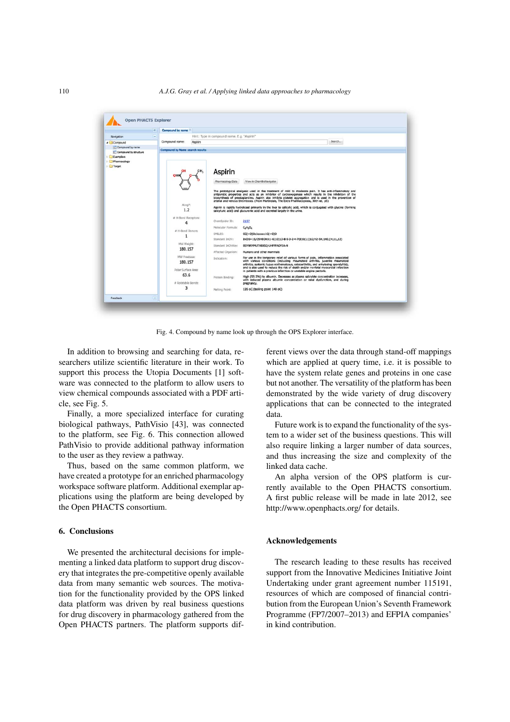#### 110 *A.J.G. Gray et al. / Applying linked data approaches to pharmacology*



Fig. 4. Compound by name look up through the OPS Explorer interface.

In addition to browsing and searching for data, researchers utilize scientific literature in their work. To support this process the Utopia Documents [1] software was connected to the platform to allow users to view chemical compounds associated with a PDF article, see Fig. 5.

Finally, a more specialized interface for curating biological pathways, PathVisio [43], was connected to the platform, see Fig. 6. This connection allowed PathVisio to provide additional pathway information to the user as they review a pathway.

Thus, based on the same common platform, we have created a prototype for an enriched pharmacology workspace software platform. Additional exemplar applications using the platform are being developed by the Open PHACTS consortium.

# 6. Conclusions

We presented the architectural decisions for implementing a linked data platform to support drug discovery that integrates the pre-competitive openly available data from many semantic web sources. The motivation for the functionality provided by the OPS linked data platform was driven by real business questions for drug discovery in pharmacology gathered from the Open PHACTS partners. The platform supports different views over the data through stand-off mappings which are applied at query time, i.e. it is possible to have the system relate genes and proteins in one case but not another. The versatility of the platform has been demonstrated by the wide variety of drug discovery applications that can be connected to the integrated data.

Future work is to expand the functionality of the system to a wider set of the business questions. This will also require linking a larger number of data sources, and thus increasing the size and complexity of the linked data cache.

An alpha version of the OPS platform is currently available to the Open PHACTS consortium. A first public release will be made in late 2012, see http://www.openphacts.org/ for details.

# Acknowledgements

The research leading to these results has received support from the Innovative Medicines Initiative Joint Undertaking under grant agreement number 115191, resources of which are composed of financial contribution from the European Union's Seventh Framework Programme (FP7/2007–2013) and EFPIA companies' in kind contribution.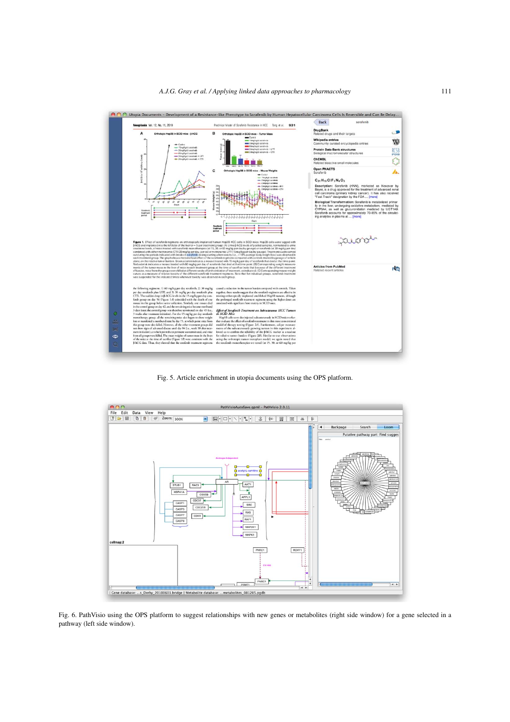

Fig. 5. Article enrichment in utopia documents using the OPS platform.



Fig. 6. PathVisio using the OPS platform to suggest relationships with new genes or metabolites (right side window) for a gene selected in a pathway (left side window).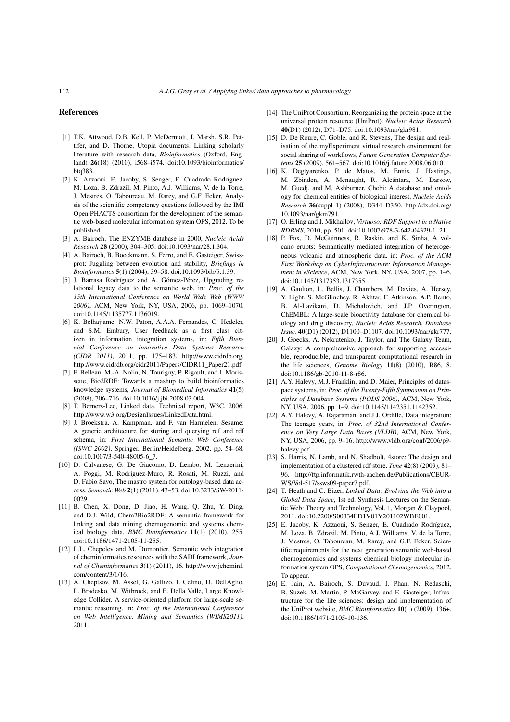#### References

- [1] T.K. Attwood, D.B. Kell, P. McDermott, J. Marsh, S.R. Pettifer, and D. Thorne, Utopia documents: Linking scholarly literature with research data, *Bioinformatics* (Oxford, England) 26(18) (2010), i568–i574. doi:10.1093/bioinformatics/ btq383.
- [2] K. Azzaoui, E. Jacoby, S. Senger, E. Cuadrado Rodríguez, M. Loza, B. Zdrazil, M. Pinto, A.J. Williams, V. de la Torre, J. Mestres, O. Taboureau, M. Rarey, and G.F. Ecker, Analysis of the scientific competency questions followed by the IMI Open PHACTS consortium for the development of the semantic web-based molecular information system OPS, 2012. To be published.
- [3] A. Bairoch, The ENZYME database in 2000, *Nucleic Acids Research* 28 (2000), 304–305. doi:10.1093/nar/28.1.304.
- [4] A. Bairoch, B. Boeckmann, S. Ferro, and E. Gasteiger, Swissprot: Juggling between evolution and stability, *Briefings in Bioinformatics* 5(1) (2004), 39–58. doi:10.1093/bib/5.1.39.
- [5] J. Barrasa Rodríguez and A. Gómez-Pérez, Upgrading relational legacy data to the semantic web, in: *Proc. of the 15th International Conference on World Wide Web (WWW 2006)*, ACM, New York, NY, USA, 2006, pp. 1069–1070. doi:10.1145/1135777.1136019.
- [6] K. Belhajjame, N.W. Paton, A.A.A. Fernandes, C. Hedeler, and S.M. Embury, User feedback as a first class citizen in information integration systems, in: *Fifth Biennial Conference on Innovative Data Systems Research (CIDR 2011)*, 2011, pp. 175–183, http://www.cidrdb.org, http://www.cidrdb.org/cidr2011/Papers/CIDR11\_Paper21.pdf.
- [7] F. Belleau, M.-A. Nolin, N. Tourigny, P. Rigault, and J. Morissette, Bio2RDF: Towards a mashup to build bioinformatics knowledge systems, *Journal of Biomedical Informatics* 41(5) (2008), 706–716. doi:10.1016/j.jbi.2008.03.004.
- [8] T. Berners-Lee, Linked data. Technical report, W3C, 2006. http://www.w3.org/DesignIssues/LinkedData.html.
- [9] J. Broekstra, A. Kampman, and F. van Harmelen, Sesame: A generic architecture for storing and querying rdf and rdf schema, in: *First International Semantic Web Conference (ISWC 2002)*, Springer, Berlin/Heidelberg, 2002, pp. 54–68. doi:10.1007/3-540-48005-6\_7.
- [10] D. Calvanese, G. De Giacomo, D. Lembo, M. Lenzerini, A. Poggi, M. Rodriguez-Muro, R. Rosati, M. Ruzzi, and D. Fabio Savo, The mastro system for ontology-based data access, *Semantic Web* 2(1) (2011), 43–53. doi:10.3233/SW-2011- 0029.
- [11] B. Chen, X. Dong, D. Jiao, H. Wang, Q. Zhu, Y. Ding, and D.J. Wild, Chem2Bio2RDF: A semantic framework for linking and data mining chemogenomic and systems chemical biology data, *BMC Bioinformatics* 11(1) (2010), 255. doi:10.1186/1471-2105-11-255.
- [12] L.L. Chepelev and M. Dumontier, Semantic web integration of cheminformatics resources with the SADI framework, *Journal of Cheminformatics* 3(1) (2011), 16. http://www.jcheminf. com/content/3/1/16.
- [13] A. Cheptsov, M. Assel, G. Gallizo, I. Celino, D. DellAglio, L. Bradesko, M. Witbrock, and E. Della Valle, Large Knowledge Collider. A service-oriented platform for large-scale semantic reasoning. in: *Proc. of the International Conference on Web Intelligence, Mining and Semantics (WIMS2011)*, 2011.
- [14] The UniProt Consortium, Reorganizing the protein space at the universal protein resource (UniProt). *Nucleic Acids Research* 40(D1) (2012), D71–D75. doi:10.1093/nar/gkr981.
- [15] D. De Roure, C. Goble, and R. Stevens, The design and realisation of the myExperiment virtual research environment for social sharing of workflows, *Future Generation Computer Systems* 25 (2009), 561–567. doi:10.1016/j.future.2008.06.010.
- [16] K. Degtyarenko, P. de Matos, M. Ennis, J. Hastings, M. Zbinden, A. Mcnaught, R. Alcántara, M. Darsow, M. Guedj, and M. Ashburner, Chebi: A database and ontology for chemical entities of biological interest, *Nucleic Acids Research* 36(suppl 1) (2008), D344–D350. http://dx.doi.org/ 10.1093/nar/gkm791.
- [17] O. Erling and I. Mikhailov, *Virtuoso: RDF Support in a Native RDBMS*, 2010, pp. 501. doi:10.1007/978-3-642-04329-1\_21.
- [18] P. Fox, D. McGuinness, R. Raskin, and K. Sinha, A volcano erupts: Semantically mediated integration of heterogeneous volcanic and atmospheric data, in: *Proc. of the ACM First Workshop on CyberInfrastructure: Information Management in eScience*, ACM, New York, NY, USA, 2007, pp. 1–6. doi:10.1145/1317353.1317355.
- [19] A. Gaulton, L. Bellis, J. Chambers, M. Davies, A. Hersey, Y. Light, S. McGlinchey, R. Akhtar, F. Atkinson, A.P. Bento, B. Al-Lazikani, D. Michalovich, and J.P. Overington, ChEMBL: A large-scale bioactivity database for chemical biology and drug discovery, *Nucleic Acids Research. Database Issue.* 40(D1) (2012), D1100–D1107. doi:10.1093/nar/gkr777.
- [20] J. Goecks, A. Nekrutenko, J. Taylor, and The Galaxy Team, Galaxy: A comprehensive approach for supporting accessible, reproducible, and transparent computational research in the life sciences, *Genome Biology* 11(8) (2010), R86, 8. doi:10.1186/gb-2010-11-8-r86.
- [21] A.Y. Halevy, M.J. Franklin, and D. Maier, Principles of dataspace systems, in: *Proc. of the Twenty-Fifth Symposium on Principles of Database Systems (PODS 2006)*, ACM, New York, NY, USA, 2006, pp. 1–9. doi:10.1145/1142351.1142352.
- [22] A.Y. Halevy, A. Rajaraman, and J.J. Ordille, Data integration: The teenage years, in: *Proc. of 32nd International Conference on Very Large Data Bases (VLDB)*, ACM, New York, NY, USA, 2006, pp. 9–16. http://www.vldb.org/conf/2006/p9 halevy.pdf.
- [23] S. Harris, N. Lamb, and N. Shadbolt, 4store: The design and implementation of a clustered rdf store. *Time* 42(8) (2009), 81– 96. http://ftp.informatik.rwth-aachen.de/Publications/CEUR-WS/Vol-517/ssws09-paper7.pdf.
- [24] T. Heath and C. Bizer, *Linked Data: Evolving the Web into a Global Data Space*, 1st ed. Synthesis Lectures on the Semantic Web: Theory and Technology, Vol. 1, Morgan & Claypool, 2011. doi:10.2200/S00334ED1V01Y201102WBE001.
- [25] E. Jacoby, K. Azzaoui, S. Senger, E. Cuadrado Rodríguez, M. Loza, B. Zdrazil, M. Pinto, A.J. Williams, V. de la Torre, J. Mestres, O. Taboureau, M. Rarey, and G.F. Ecker, Scientific requirements for the next generation semantic web-based chemogenomics and systems chemical biology molecular information system OPS, *Computational Chemogenomics*, 2012. To appear.
- [26] E. Jain, A. Bairoch, S. Duvaud, I. Phan, N. Redaschi, B. Suzek, M. Martin, P. McGarvey, and E. Gasteiger, Infrastructure for the life sciences: design and implementation of the UniProt website, *BMC Bioinformatics* 10(1) (2009), 136+. doi:10.1186/1471-2105-10-136.